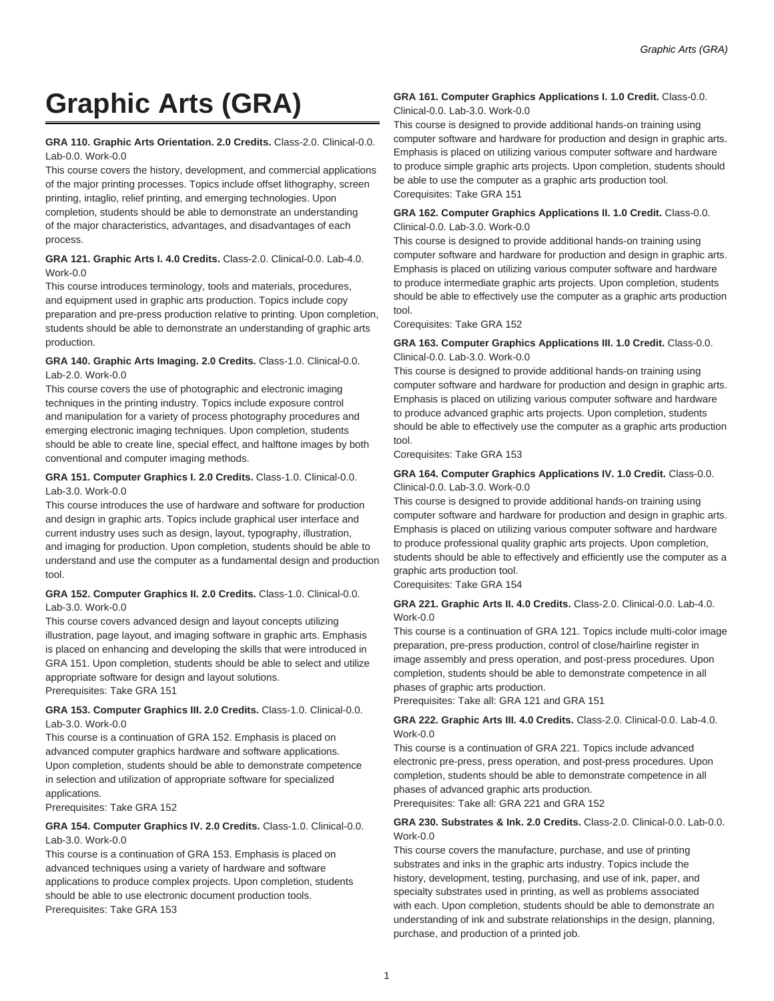# **Graphic Arts (GRA)**

#### **GRA 110. Graphic Arts Orientation. 2.0 Credits.** Class-2.0. Clinical-0.0. Lab-0.0. Work-0.0

This course covers the history, development, and commercial applications of the major printing processes. Topics include offset lithography, screen printing, intaglio, relief printing, and emerging technologies. Upon completion, students should be able to demonstrate an understanding of the major characteristics, advantages, and disadvantages of each process.

## **GRA 121. Graphic Arts I. 4.0 Credits.** Class-2.0. Clinical-0.0. Lab-4.0. Work-0.0

This course introduces terminology, tools and materials, procedures, and equipment used in graphic arts production. Topics include copy preparation and pre-press production relative to printing. Upon completion, students should be able to demonstrate an understanding of graphic arts production.

## **GRA 140. Graphic Arts Imaging. 2.0 Credits.** Class-1.0. Clinical-0.0. Lab-2.0. Work-0.0

This course covers the use of photographic and electronic imaging techniques in the printing industry. Topics include exposure control and manipulation for a variety of process photography procedures and emerging electronic imaging techniques. Upon completion, students should be able to create line, special effect, and halftone images by both conventional and computer imaging methods.

#### **GRA 151. Computer Graphics I. 2.0 Credits.** Class-1.0. Clinical-0.0. Lab-3.0. Work-0.0

This course introduces the use of hardware and software for production and design in graphic arts. Topics include graphical user interface and current industry uses such as design, layout, typography, illustration, and imaging for production. Upon completion, students should be able to understand and use the computer as a fundamental design and production tool.

#### **GRA 152. Computer Graphics II. 2.0 Credits.** Class-1.0. Clinical-0.0. Lab-3.0. Work-0.0

This course covers advanced design and layout concepts utilizing illustration, page layout, and imaging software in graphic arts. Emphasis is placed on enhancing and developing the skills that were introduced in GRA 151. Upon completion, students should be able to select and utilize appropriate software for design and layout solutions. Prerequisites: Take GRA 151

#### **GRA 153. Computer Graphics III. 2.0 Credits.** Class-1.0. Clinical-0.0. Lab-3.0. Work-0.0

This course is a continuation of GRA 152. Emphasis is placed on advanced computer graphics hardware and software applications. Upon completion, students should be able to demonstrate competence in selection and utilization of appropriate software for specialized applications.

Prerequisites: Take GRA 152

## **GRA 154. Computer Graphics IV. 2.0 Credits.** Class-1.0. Clinical-0.0. Lab-3.0. Work-0.0

This course is a continuation of GRA 153. Emphasis is placed on advanced techniques using a variety of hardware and software applications to produce complex projects. Upon completion, students should be able to use electronic document production tools. Prerequisites: Take GRA 153

### **GRA 161. Computer Graphics Applications I. 1.0 Credit.** Class-0.0. Clinical-0.0. Lab-3.0. Work-0.0

This course is designed to provide additional hands-on training using computer software and hardware for production and design in graphic arts. Emphasis is placed on utilizing various computer software and hardware to produce simple graphic arts projects. Upon completion, students should be able to use the computer as a graphic arts production tool. Corequisites: Take GRA 151

#### **GRA 162. Computer Graphics Applications II. 1.0 Credit.** Class-0.0. Clinical-0.0. Lab-3.0. Work-0.0

This course is designed to provide additional hands-on training using computer software and hardware for production and design in graphic arts. Emphasis is placed on utilizing various computer software and hardware to produce intermediate graphic arts projects. Upon completion, students should be able to effectively use the computer as a graphic arts production tool.

Corequisites: Take GRA 152

#### **GRA 163. Computer Graphics Applications III. 1.0 Credit.** Class-0.0. Clinical-0.0. Lab-3.0. Work-0.0

This course is designed to provide additional hands-on training using computer software and hardware for production and design in graphic arts. Emphasis is placed on utilizing various computer software and hardware to produce advanced graphic arts projects. Upon completion, students should be able to effectively use the computer as a graphic arts production tool.

Corequisites: Take GRA 153

# **GRA 164. Computer Graphics Applications IV. 1.0 Credit.** Class-0.0. Clinical-0.0. Lab-3.0. Work-0.0

This course is designed to provide additional hands-on training using computer software and hardware for production and design in graphic arts. Emphasis is placed on utilizing various computer software and hardware to produce professional quality graphic arts projects. Upon completion, students should be able to effectively and efficiently use the computer as a graphic arts production tool.

Corequisites: Take GRA 154

#### **GRA 221. Graphic Arts II. 4.0 Credits.** Class-2.0. Clinical-0.0. Lab-4.0. Work-0.0

This course is a continuation of GRA 121. Topics include multi-color image preparation, pre-press production, control of close/hairline register in image assembly and press operation, and post-press procedures. Upon completion, students should be able to demonstrate competence in all phases of graphic arts production.

Prerequisites: Take all: GRA 121 and GRA 151

#### **GRA 222. Graphic Arts III. 4.0 Credits.** Class-2.0. Clinical-0.0. Lab-4.0. Work-0.0

This course is a continuation of GRA 221. Topics include advanced electronic pre-press, press operation, and post-press procedures. Upon completion, students should be able to demonstrate competence in all phases of advanced graphic arts production. Prerequisites: Take all: GRA 221 and GRA 152

# **GRA 230. Substrates & Ink. 2.0 Credits.** Class-2.0. Clinical-0.0. Lab-0.0. Work-0.0

This course covers the manufacture, purchase, and use of printing substrates and inks in the graphic arts industry. Topics include the history, development, testing, purchasing, and use of ink, paper, and specialty substrates used in printing, as well as problems associated with each. Upon completion, students should be able to demonstrate an understanding of ink and substrate relationships in the design, planning, purchase, and production of a printed job.